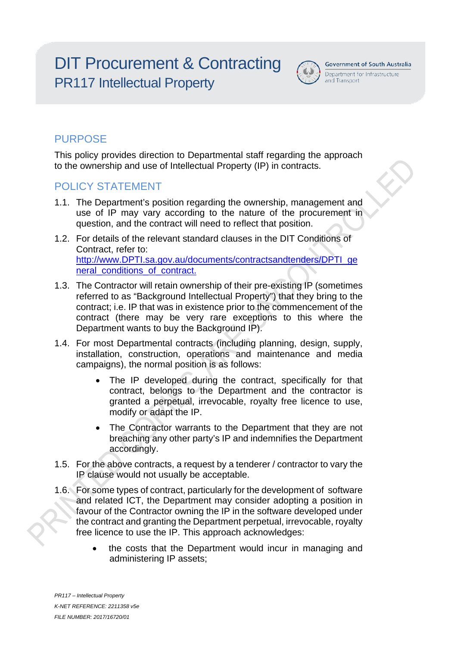# DIT Procurement & Contracting PR117 Intellectual Property



**Government of South Australia** 

#### Department for Infrastructure and Transport

# **PURPOSE**

This policy provides direction to Departmental staff regarding the approach to the ownership and use of Intellectual Property (IP) in contracts.

## POLICY STATEMENT

- 1.1. The Department's position regarding the ownership, management and use of IP may vary according to the nature of the procurement in question, and the contract will need to reflect that position.
- 1.2. For details of the relevant standard clauses in the DIT Conditions of Contract, refer to: [http://www.DPTI.sa.gov.au/documents/contractsandtenders/DPTI\\_ge](https://www.dpti.sa.gov.au/contractor_documents/dpti_general_conditions_of_contract) neral conditions of contract.
- 1.3. The Contractor will retain ownership of their pre-existing IP (sometimes referred to as "Background Intellectual Property") that they bring to the contract; i.e. IP that was in existence prior to the commencement of the contract (there may be very rare exceptions to this where the Department wants to buy the Background IP).
- 1.4. For most Departmental contracts (including planning, design, supply, installation, construction, operations and maintenance and media campaigns), the normal position is as follows:
	- The IP developed during the contract, specifically for that contract, belongs to the Department and the contractor is granted a perpetual, irrevocable, royalty free licence to use, modify or adapt the IP.
	- The Contractor warrants to the Department that they are not breaching any other party's IP and indemnifies the Department accordingly.
- 1.5. For the above contracts, a request by a tenderer / contractor to vary the IP clause would not usually be acceptable.
- 1.6. For some types of contract, particularly for the development of software and related ICT, the Department may consider adopting a position in favour of the Contractor owning the IP in the software developed under the contract and granting the Department perpetual, irrevocable, royalty free licence to use the IP. This approach acknowledges:
	- the costs that the Department would incur in managing and administering IP assets;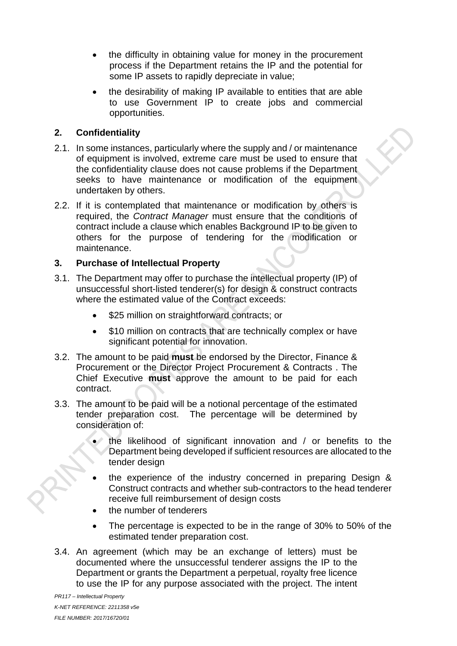- the difficulty in obtaining value for money in the procurement process if the Department retains the IP and the potential for some IP assets to rapidly depreciate in value;
- the desirability of making IP available to entities that are able to use Government IP to create jobs and commercial opportunities.

#### **2. Confidentiality**

- 2.1. In some instances, particularly where the supply and / or maintenance of equipment is involved, extreme care must be used to ensure that the confidentiality clause does not cause problems if the Department seeks to have maintenance or modification of the equipment undertaken by others.
- 2.2. If it is contemplated that maintenance or modification by others is required, the *Contract Manager* must ensure that the conditions of contract include a clause which enables Background IP to be given to others for the purpose of tendering for the modification or maintenance.

#### **3. Purchase of Intellectual Property**

- 3.1. The Department may offer to purchase the intellectual property (IP) of unsuccessful short-listed tenderer(s) for design & construct contracts where the estimated value of the Contract exceeds:
	- \$25 million on straightforward contracts; or
	- \$10 million on contracts that are technically complex or have significant potential for innovation.
- 3.2. The amount to be paid **must** be endorsed by the Director, Finance & Procurement or the Director Project Procurement & Contracts . The Chief Executive **must** approve the amount to be paid for each contract.
- 3.3. The amount to be paid will be a notional percentage of the estimated tender preparation cost. The percentage will be determined by consideration of:
	- the likelihood of significant innovation and / or benefits to the Department being developed if sufficient resources are allocated to the tender design
	- the experience of the industry concerned in preparing Design & Construct contracts and whether sub-contractors to the head tenderer receive full reimbursement of design costs
	- the number of tenderers
	- The percentage is expected to be in the range of 30% to 50% of the estimated tender preparation cost.
- 3.4. An agreement (which may be an exchange of letters) must be documented where the unsuccessful tenderer assigns the IP to the Department or grants the Department a perpetual, royalty free licence to use the IP for any purpose associated with the project. The intent